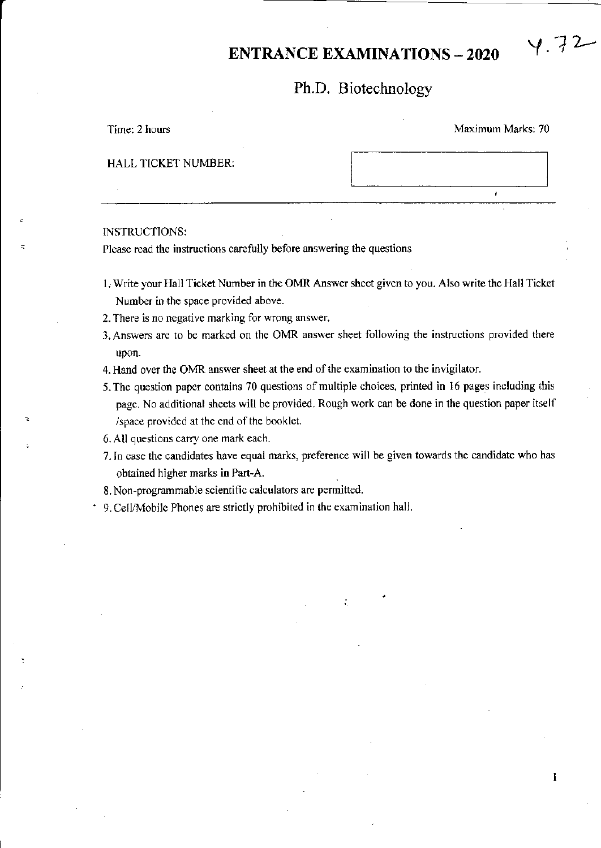# ENTRANCE EXAMINATIONS - 2020  $\forall$ . 72

## Ph.D. Biotechnology

Time: 2 hours Maximum Marks: 70

J.

1

### HALL TICKET NUMBER:

#### INSTRUCTIONS:

Please read the instructions carefully before answering the questions

- 1. Write your Hall Ticket Number in the OMR Answer sheet given to you. Also write the Hall Ticket Number in the space provided above.
- 2. There is no negative marking for wrong answer.
- 3. Answers arc to be marked on the OMR answer sheet following the instructions provided there upon.
- 4. Hand over the OMR answer sheet at the end of the examination to the invigilator.
- 5.The question paper contains 70 questions of multiple choices, printed in 16 pages including this page. No additional sheets will be provided. Rough work can be done in the question paper itself /space provided at the end of the booklet.
- 6. All questions carry one mark each.
- 7. In case the candidates have equal marks, preference will be given towards the candidate who has obtained higher marks in Part-A.
- 8. Non-programmable scientific calculators are permitted.
- 9. Cell^4obile Phones are strictly prohibited in the examination hall.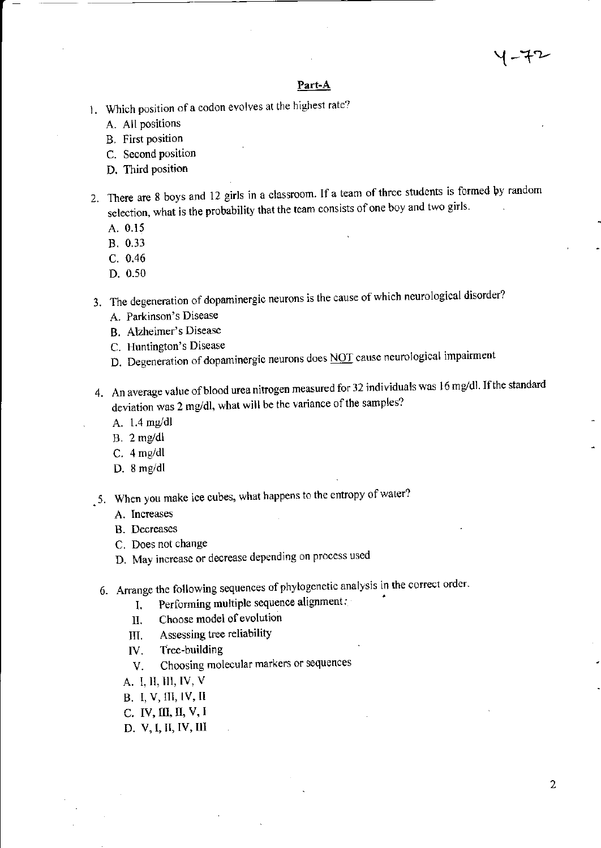## イーギレ

#### Part-A

- 1. Which position of a codon evolves at the highest rate?
	- A. All positions
	- **B.** First position
	- C. Second position
	- D. Third position
- 2. There are 8 boys and 12 girls in a classroom. If a team of three students is formed by random selection, what is the probability that the team consists of one boy and two girls.
	- A. 0.15
	- B. 0.33
	- $C. 0.46$
	- D. 0.50
- 3. The degeneration of dopaminergic neurons is the cause of which neurological disorder?
	- A. Parkinson's Disease
	- B. Alzheimer's Disease
	- C. Huntington's Disease
	- D. Degeneration of dopaminergic neurons does NOT cause neurological impairment
- 4. An average value of blood urea nitrogen measured for 32 individuals was 16 mg/dl. If the standard deviation was 2 mg/dl, what will be the variance of the samples?
	- A. 1.4 mg/dl
	- $B. 2$  mg/dl
	- $C. 4 mg/dl$
	- D.  $8$  mg/dl
- 5. When you make ice cubes, what happens to the entropy of water?
	- A. Increases
	- B. Decreases
	- C. Does not change
	- D. May increase or decrease depending on process used
	- 6. Arrange the following sequences of phylogenetic analysis in the correct order.
		- Performing multiple sequence alignment:  $I_{\bullet}$
		- Choose model of evolution II.
		- Assessing tree reliability III.
		- Tree-building IV.
		- Choosing molecular markers or sequences V.
		- A. I. II, III, IV, V
		- **B.** I, V, III, IV, II
		- C. IV, III, II, V, I
		- D. V, I, II, IV, III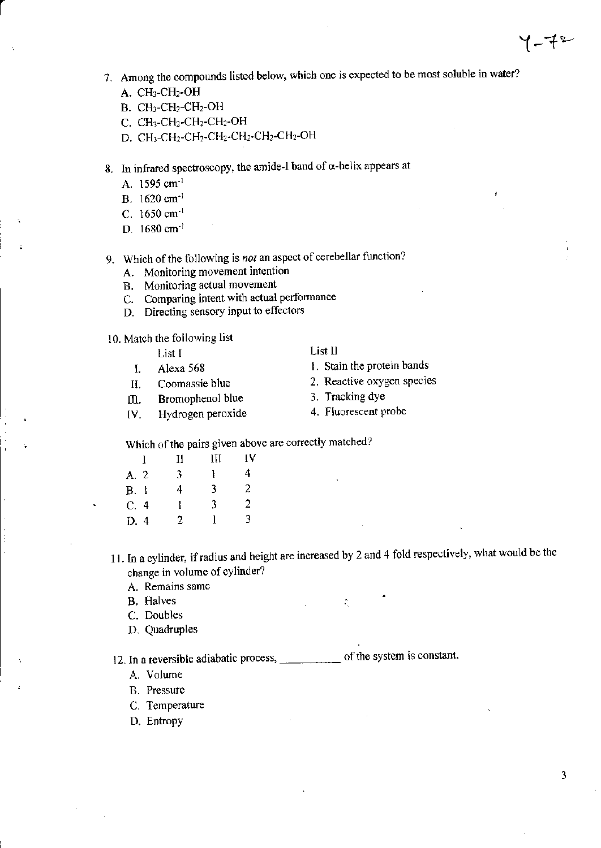- 7. Among the compounds listed below, which one is expected to be most soluble in water?
	- A. CH<sub>3</sub>-CH<sub>2</sub>-OH
	- $B. CH<sub>3</sub>-CH<sub>2</sub>-CH<sub>2</sub>-OH$
	- $C.$   $CH<sub>3</sub>-CH<sub>2</sub>-CH<sub>2</sub>-CH<sub>2</sub>-CH<sub>2</sub>$ -OH
	- D. CH<sub>3</sub>-CH<sub>2</sub>-CH<sub>2</sub>-CH<sub>2</sub>-CH<sub>2</sub>-CH<sub>2</sub>-CH<sub>2</sub>-OH
- 8. In infrared spectroscopy, the amide-I band of  $\alpha$ -helix appears at
	- A. 1595 cm<sup>-1</sup>
	- B.  $1620 \text{ cm}^{-1}$
	- C. 1650 cm $^{-1}$
	- D. 1680 cm<sup>-1</sup>
- 9. Which of the following is not an aspect of cerebellar function?
	- A. Monitoring movement intention
	- B. Monitoring actual movement
	- C. Comparing intent with actual performance
	- D. Directing sensory input to effectors

10. Match the following list

- $List I$  List II
- 
- 
- III. Bromophenol blue
- lV. Hydrogen peroxide 4. Fluorescent probe

- List I<br>I. Stain the protein bands<br>I. Stain the protein bands
- II. Coomassie blue 2. Reactive oxygen species<br>III. Bromophenol blue 3. Tracking dye
	-
	-

Which of the pairs given above are correctly matched?

|      | Н  | Ш | IV |
|------|----|---|----|
| A. 2 | 3. |   | 4  |
| B. I | 4  | 3 | 2  |
| C.4  | 1  | 3 | 2  |
| D. 4 | 2  |   | 3  |
|      |    |   |    |

11. In a cylinder, if radius and height are increased by 2 and 4 fold respectively, what would be the change in volume of cylinder?

- A. Remains same
- **B.** Halves :  $\therefore$
- C. Doubles
- D. Quadruples

12. In a reversible adiabatic process, <u>estimately</u> of the system is constant.

-

- A. Volume
- B. Pressure
- C. Tcmperature
- D. Entropy

 $7 - 72$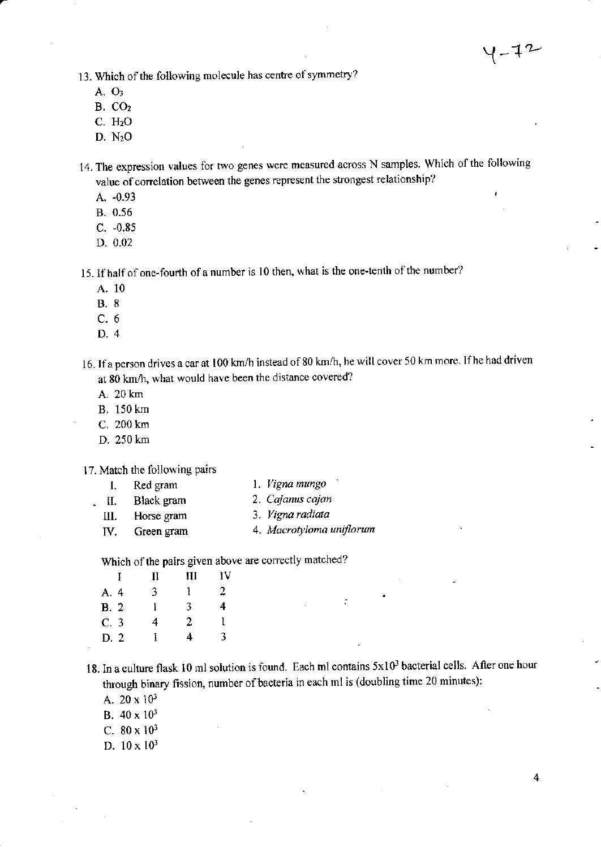13. Which of the following molecule has centre of symmetry?

- A. O:
- B, Co,
- $C. H<sub>2</sub>O$
- D. NzO

14. The expression values for two genes were measured across N samples. Which of the following value of correlation between the genes represent the strongest relationship?

- A. -0.93
- 8.0.56
- c. -0.85
- D.0.02

15. If half of one-fourth of a number is 10 then, what is the one-tenth of the number?

- A. <sup>10</sup>
- B.8
- c.6
- D.4

16. If a person drives a car at 100 km/h instead of 80 km/h, he will cover 50 km more. If he had driven at 80 km/h, what would have been the distance covered?

- A.20km
- B. 150 km
- C. 200 km
- D. 250 km

17. Match the following pairs

- I. Red gram l. Vigna mungo
- -
- 
- II. Black gram 2. Cajanus cajan<br>
III. Horse gram 3. Vigna radiata 3. Vigna radiata
- IV. Green gram 4. Macrotyloma uniflorum

Which of the pairs given above are correctly matched?

|      | II | Ш | ١V |  |
|------|----|---|----|--|
| A. 4 | 3  | 1 | 2  |  |
| B. 2 | ì  | 3 | 4  |  |
| C.3  | 4  | 2 | Ŧ  |  |
| D.2  | 1  | 4 | 3  |  |
|      |    |   |    |  |

18. In a culture flask 10 ml solution is found. Each ml contains  $5x10^3$  bacterial cells. After one hour through binary fission, number of bacteria in each ml is (doubling time 20 minutes):

 $\mathcal{L}_{\mathcal{L}}$ 

- A.  $20 \times 10^3$
- B. 40 x <sup>103</sup>
- C.  $80 \times 10^3$
- D.  $10 \times 10^3$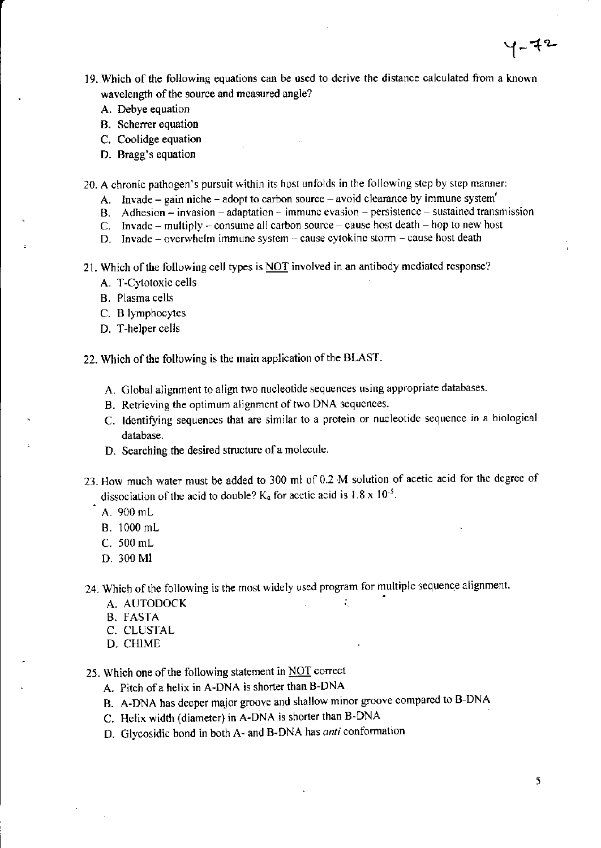- 19. which of the following equations can be uscd to derive the distance calculated from a known wavelength of the source and measured angle?
	- A. Debye equation
	- B. Scherrer equation
	- C. Coolidge equation
	- D. Bragg's equation
- 20. A chronic pathogen's pursuit within its host unfolds in the following step by step manner:
	- A. lnvade gain niche adopt to carbon source avoid clearance by immune system'
	- B. Adhesion invasion adaptation immune evasion persistence sustained transmission
	- C. Invade multiply consume all carbon source cause host death hop to new host
	- D. Invade overwhelm immune system cause cytokinc storm cause host death
- 21. Which of the following cell types is  $\overline{NOT}$  involved in an antibody mediated response?
	- A. T-Cytotoxic cells
	- B. Plasma cells
	- C. B lymphocytes
	- D. T-helper cells
- 22. Which of the following is the main application of the BLAST.
	- A. Global alignment to align two nucleotide sequences using appropriate databases.
	- B. Retrieving the optimum alignment of two DNA sequences.
	- C. Identifying sequences that are similar to a protein or nucleotide sequence in a biological database.
	- D. Searching the desired structure of a molecule.
- 23. How much water must be added to 300 ml of 0.2 M solution of acetic acid for the degree of dissociation of the acid to double?  $K_a$  for acetic acid is 1.8 x 10<sup>-5</sup>.
	- A. 900 mL
	- B. 1000 mL
	- C. 500 mL
	- D. 300 Ml
- 24. Which of the following is the most widely used program for multiple sequence alignment.
	- A. AUTODOCK in the state of the state of the state of the state of the state of the state of the state of the state of the state of the state of the state of the state of the state of the state of the state of the state of
	- B. FASTA
	- C. CLUSTAL
	- D. CHIME
- 25. Which one of the following statement in  $\overline{NOT}$  correct
	- A. Pitch of a helix in A-DNA is shorter than B-DNA
	- B. A-DNA has deeper major groove and shallow minor groove compared to B-DNA
	- C. Hclix width (diameter) in A-DNA is shorter than B-DNA
	- D. Glycosidic bond in both A- and B-DNA has anti conformation

 $Y - 72$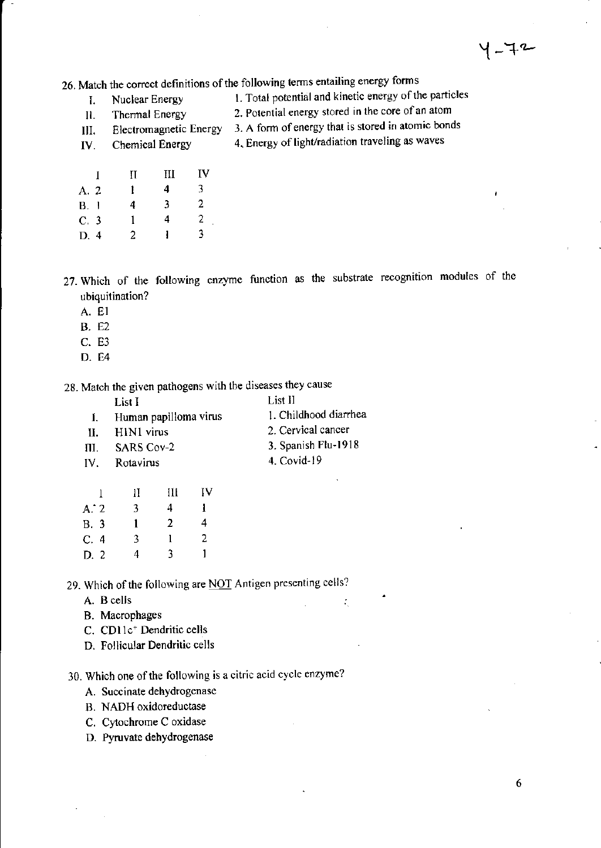26. Match the correct definitions of the following terms entailing energy forms

Nuclear Energy L

1. Total potential and kinetic energy of the particles 2. Potential energy stored in the core of an atom

- Thermal Energy **Electromagnetic Energy** III.
- Chemical Energy IV.
- 3. A form of energy that is stored in atomic bonds 4. Energy of light/radiation traveling as waves
- $\mathbf{I}$  $\Pi$  $III$ IV  $\overline{\mathbf{3}}$ A. 2  $\mathbf{I}$  $\overline{\mathbf{4}}$  $\overline{2}$ 3 **B.** 1  $\overline{\mathbf{4}}$  $\overline{2}$  $C.3$  $\mathbf{1}$ 4  $\mathbf{I}$ 3 D. 4  $\overline{2}$

27. Which of the following enzyme function as the substrate recognition modules of the ubiquitination?

A. E1

 $\Pi$ .

- **B.** E2
- C. E3
- D. E4

28. Match the given pathogens with the diseases they cause

| List I                | -List II              |
|-----------------------|-----------------------|
| Human papilloma virus | 1. Childhood diarrhea |

II. HIN1 virus 2. Cervical cancer

÷.

- **SARS Cov-2** III.
- IV. Rotavirus

3. Spanish Flu-1918 4. Covid-19

|             | П | Ш              | IV |
|-------------|---|----------------|----|
| A:2         | 3 | 4              | ı  |
| <b>B.</b> 3 | 1 | $\mathfrak{D}$ | 4  |
| C.4         | 3 | 1              | 2  |
| D.2         | 4 | 3              | ı  |

29. Which of the following are NOT Antigen presenting cells?

- A. B cells
- B. Macrophages
- C. CD11c<sup>+</sup> Dendritic cells
- D. Follicular Dendritic cells

30. Which one of the following is a citric acid cycle enzyme?

- A. Succinate dehydrogenase
- B. NADH oxidoreductase
- C. Cytochrome C oxidase
- D. Pyruvate dehydrogenase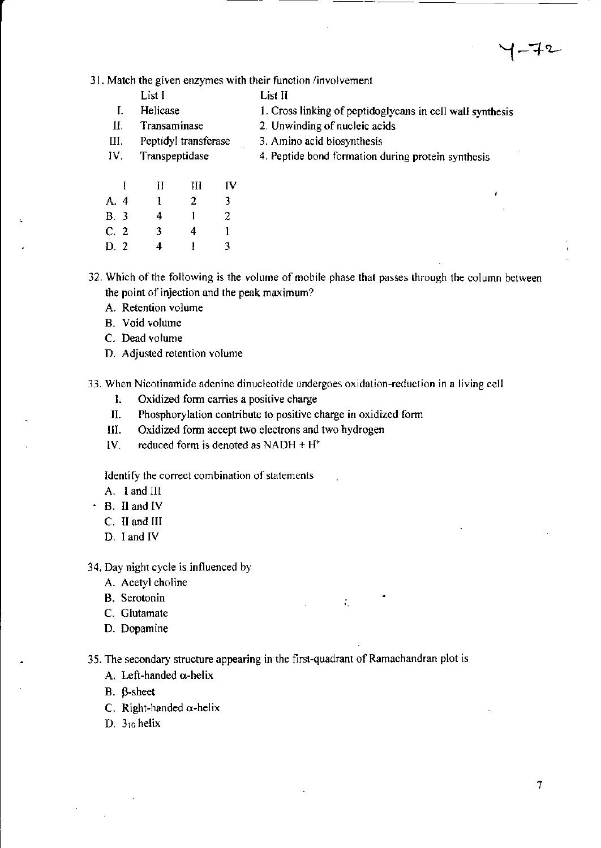$7 - 72$ 

31. Match the given enzymes with their function /involvement

|     | List I               |   | List II                                                   |
|-----|----------------------|---|-----------------------------------------------------------|
|     | Helicase             |   | 1. Cross linking of peptidoglycans in cell wall synthesis |
| П.  | Transaminase         |   | 2. Unwinding of nucleic acids                             |
| Ш.  | Peptidyl transferase |   | 3. Amino acid biosynthesis                                |
| IV. | Transpeptidase       |   | 4. Peptide bond formation during protein synthesis        |
|     |                      | и |                                                           |

| A. 4 | 1              | 2            | 3.             |
|------|----------------|--------------|----------------|
| B. 3 | 4              | 1            | $\mathbf{2}$   |
| C, 2 | $\overline{3}$ | 4            | 1              |
| D. 2 | 4              | $\mathbf{1}$ | $\overline{3}$ |

32. Which of the following is the volume of mobile phase that passes through the column between the point of injection and the peak maximum?

- A. Retention volume
- B. Void volume
- C. Dead volume
- D. Adjusted retention volume

33. when Nicotinamide adenine dinucleotide undergoes oxidation-reduction in a living cell

- l. Oxidized form carries a positive charge
- II. Phosphorylation contribute to positive charge in oxidized form
- III. Oxidized form accept two electrons and two hydrogen
- IV. reduced form is denoted as NADH  $+$  H<sup> $+$ </sup>

ldentify the correct combination of statements

A. I and III

- ' B. Il and lV
	- C. II and III
	- D. I and IV

34. Day night cycle is influenced by

- A. Acetyl choline
- B. Serotonin
- C. Glutamate
- D. Dopamine

35. The secondary structure appearing in the first-quadrant of Ramachandran plot is

A.

- A. Left-handed  $\alpha$ -helix
- B. B-sheet
- C. Right-handed  $\alpha$ -helix
- D.  $3_{10}$  helix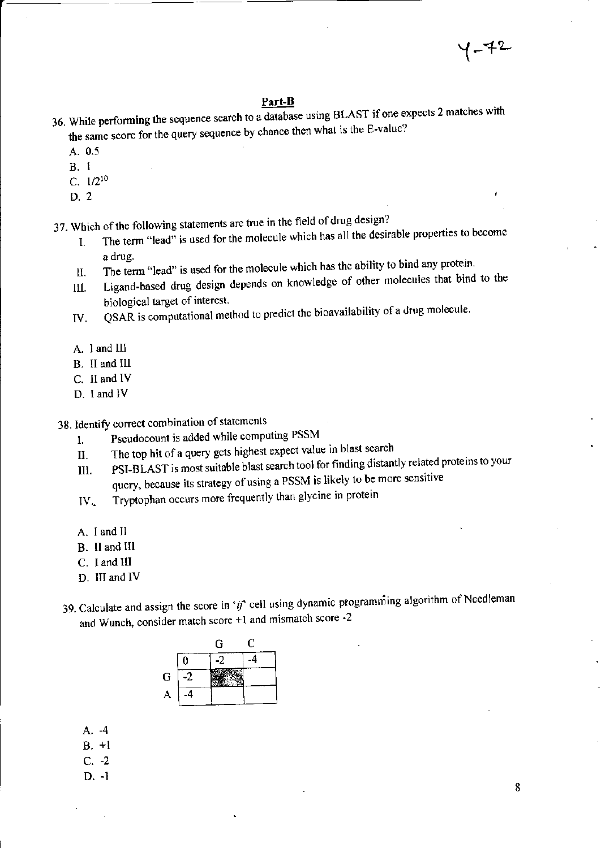#### Part-B

- 36. While performing the sequence search to a database using BLAST if one expects 2 matches with the same score for the query sequence by chance then what is the E-value?
	- A. 0.5
	- **B.** 1
	- C.  $1/2^{10}$
	- $D.2$

37. Which of the following statements are true in the field of drug design?

- The term "lead" is used for the molecule which has all the desirable properties to become L. a drug.
- The term "lead" is used for the molecule which has the ability to bind any protein. Н.
- Ligand-based drug design depends on knowledge of other molecules that bind to the Ш. biological target of interest.
- QSAR is computational method to predict the bioavailability of a drug molecule. IV.
- A. 1 and III
- B. II and III
- C. II and IV
- D. I and IV
- 38. Identify correct combination of statements
	- Pseudocount is added while computing PSSM  $\mathbf{l}$ .
	- The top hit of a query gets highest expect value in blast search II.
	- PSI-BLAST is most suitable blast search tool for finding distantly related proteins to your III. query, because its strategy of using a PSSM is likely to be more sensitive
	- Tryptophan occurs more frequently than glycine in protein  $IV_{\sim}$
	- A. I and II
	- B. II and III
	- C. I and III
	- D. III and IV
- 39. Calculate and assign the score in 'ij' cell using dynamic programming algorithm of Needleman and Wunch, consider match score +1 and mismatch score -2

|            |   | G  | U |
|------------|---|----|---|
|            | U | -2 |   |
| G          |   |    |   |
| $\uparrow$ |   |    |   |

- $A. -4$
- $B. +1$
- $C. -2$
- $D. -1$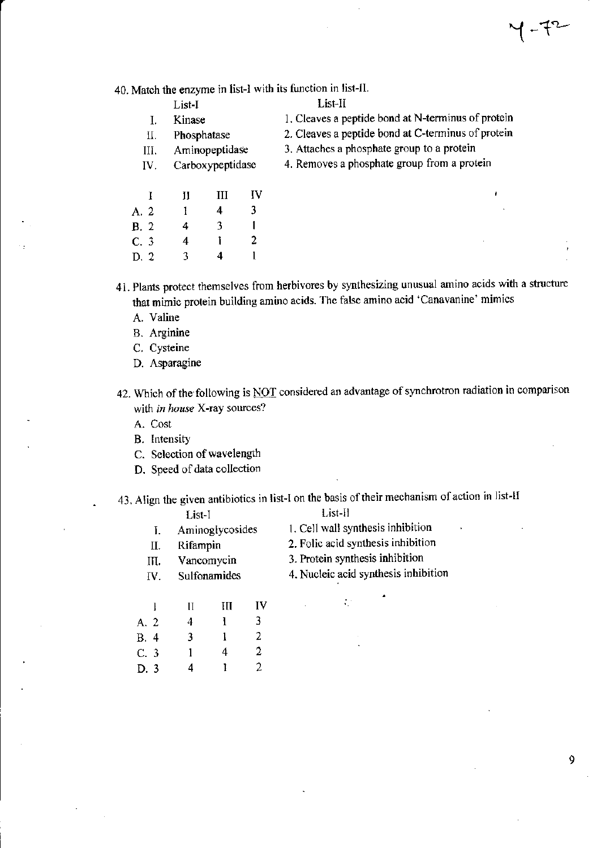40. Match the enzyme in list-I with its function in list-II.

- 1. Cleaves a peptide bond at N-terminus of protein
- 2. Cleaves a peptide bond at C-terminus of protein 3. Attaches a phosphate group to a protein
- II. Phosphatase Aminopeptidase III.

List-I

Kinase

 $\mathbf{I}$ .

- Carboxypeptidase IV.
- 4. Removes a phosphate group from a protein

| -1             | П | Ш | IV |
|----------------|---|---|----|
| A. 2           | L | 4 | 3. |
| B.2            | 4 | 3 | L  |
| C.3            | 4 | ı | 2  |
| D <sub>2</sub> | 3 | 4 | 1  |

41. Plants protect themselves from herbivores by synthesizing unusual amino acids with a structure that mimic protein building amino acids. The false amino acid 'Canavanine' mimics

- A. Valine
- **B.** Arginine
- C. Cysteine
- D. Asparagine

42. Which of the following is NOT considered an advantage of synchrotron radiation in comparison with in house X-ray sources?

- A. Cost
- B. Intensity
- C. Selection of wavelength
- D. Speed of data collection

43. Align the given antibiotics in list-I on the basis of their mechanism of action in list-If

List-II

|     | List-I          |      |
|-----|-----------------|------|
| Ι.  | Aminoglycosides | 1.9  |
| П.  | Rifampin        | 2.1  |
| Ш.  | Vancomycin      | 3. I |
| IV. | Sulfonamides    | 4. I |
|     |                 |      |

- Cell wall synthesis inhibition
- Folic acid synthesis inhibition
- Protein synthesis inhibition

 $\mathcal{L}^{\pm}$ 

Nucleic acid synthesis inhibition

|             | Н | Ш | IV |
|-------------|---|---|----|
| A. 2        | 4 | Ł | 3  |
| <b>B.</b> 4 | 3 | l | 2  |
| C.3         | 1 | 4 | 2  |
| D. 3        | 4 | Ŧ | 2  |

9

 $-72$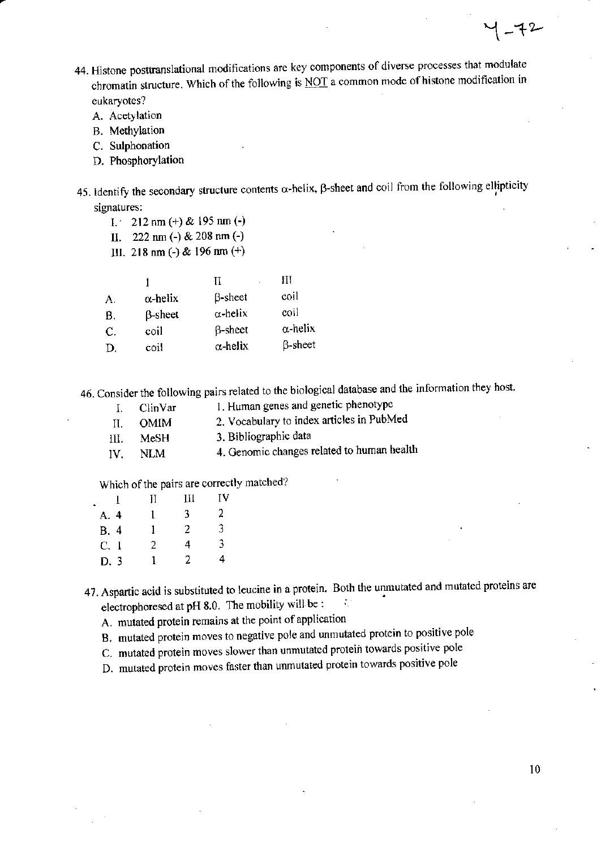- 44. Histone posttranslational modifications are key components of diverse processes that modulate chromatin structure. Which of the following is NOT a common mode of histone modification in eukaryotes?
	- A. Acetylation
	- **B.** Methylation
	- C. Sulphonation
	- D. Phosphorylation
- 45. Identify the secondary structure contents  $\alpha$ -helix,  $\beta$ -sheet and coil from the following ellipticity signatures:
	- $1.22$  nm (+) & 195 nm (-)
	- II. 222 nm (-) & 208 nm (-)
	- III. 218 nm (-) & 196 nm (+)

|    |                 | Н               | Ш               |
|----|-----------------|-----------------|-----------------|
| A. | $\alpha$ -helix | <b>B</b> -sheet | coil            |
| В. | $\beta$ -sheet  | $\alpha$ -helix | coil            |
| C. | coil            | $\beta$ -sheet  | $\alpha$ -helix |
| D. | coil            | $\alpha$ -helix | $\beta$ -sheet  |

46. Consider the following pairs related to the biological database and the information they host.

- 1. Human genes and genetic phenotype  $\mathbf{I}$ . ClinVar
- 2. Vocabulary to index articles in PubMed Π. **OMIM**
- 3. Bibliographic data III. MeSH
- 4. Genomic changes related to human health **NLM** IV.

Which of the pairs are correctly matched?

|      | Н | Ш  | IV |  |
|------|---|----|----|--|
| A. 4 | 1 | 3. | 2  |  |
| B. 4 | 1 | 2  | 3  |  |
| C.1  | 2 | 4  | 3  |  |
| D.3  | L | 2  | 4  |  |

47. Aspartic acid is substituted to leucine in a protein. Both the unmutated and mutated proteins are electrophoresed at pH 8.0. The mobility will be : ÷,

- A. mutated protein remains at the point of application
- B. mutated protein moves to negative pole and unmutated protein to positive pole
- C. mutated protein moves slower than unmutated protein towards positive pole
- D. mutated protein moves faster than unmutated protein towards positive pole

 $10$ 

 $Y - 72$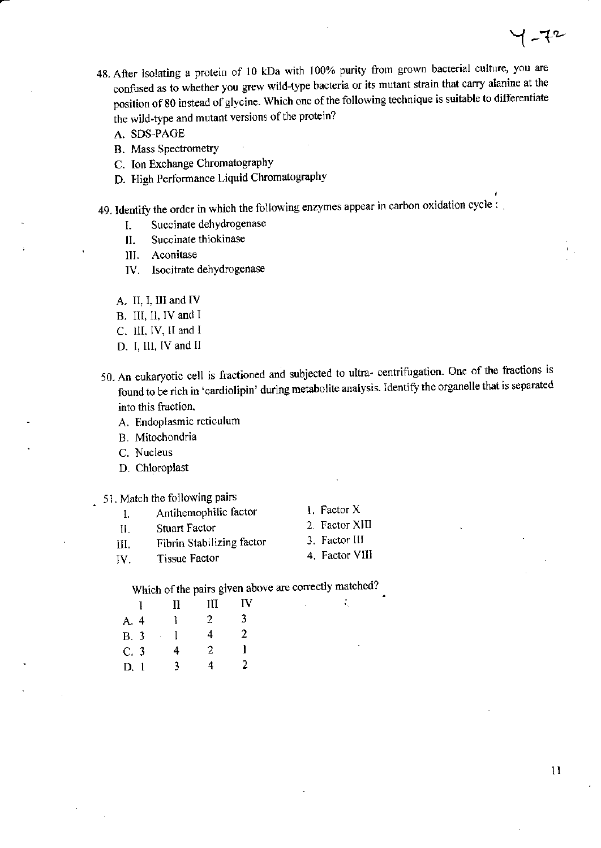- 48. After isolating a protein of 10 kDa with 100% purity from grown bacterial culture, you are confused as to whether you grew wild-type bacteria or its mutant strain that carry alanine at the position of 80 instead of glycine. Which one of the following technique is suitable to differentiate the wild-type and mutant versions of the protein?
	- A. SDS-PAGE
	- **B.** Mass Spectrometry
	- C. Ion Exchange Chromatography
	- D. High Performance Liquid Chromatography
- 49. Identify the order in which the following enzymes appear in carbon oxidation cycle:
	- Succinate dehydrogenase I.
	- Succinate thiokinase  $\mathbf{II}$ .
	- III. Aconitase
	- Isocitrate dehydrogenase IV.
	- A. II, I, III and IV
	- B. III, II, IV and I
	- C. III, IV, II and I
	- D. I, III, IV and II
- 50. An eukaryotic cell is fractioned and subjected to ultra-centrifugation. One of the fractions is found to be rich in 'cardiolipin' during metabolite analysis. Identify the organelle that is separated into this fraction.
	- A. Endoplasmic reticulum
	- B. Mitochondria
	- C. Nucleus
	- D. Chloroplast
- 51. Match the following pairs
	- 1. Factor X Antihemophilic factor Ι. **Stuart Factor**
	- $\Pi$ .
	- Fibrin Stabilizing factor III.
	- **Tissue Factor** IV.
- 2. Factor XIII
- 3. Factor III
- 4. Factor VIII

÷,

Which of the pairs given above are correctly matched?

|             | Ħ | Ш  | ΓV |
|-------------|---|----|----|
| A. 4        | ŀ | 2. | 3. |
| <b>B.</b> 3 | 1 | 4  | 2  |
| C.3         | 4 | 2  | l  |
| D.1         | 3 | 4  | 2  |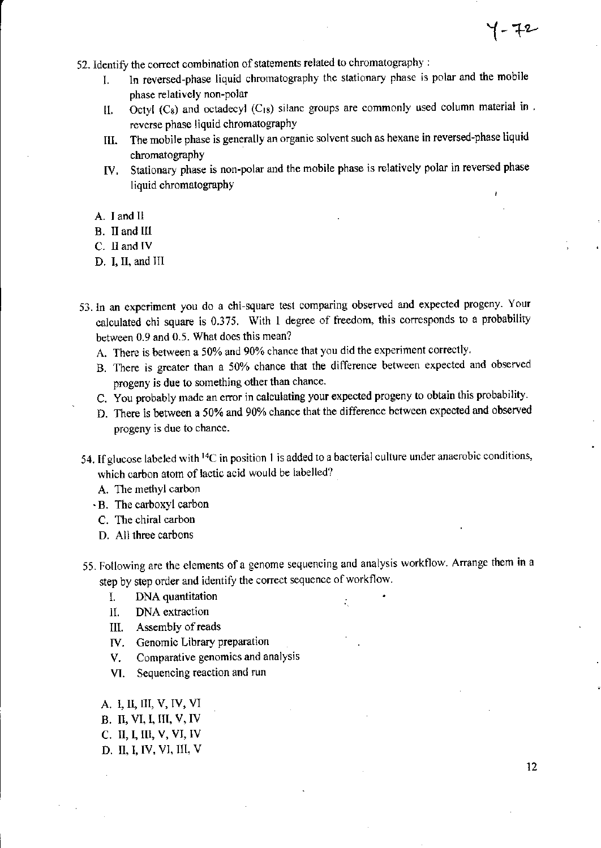- 52. Identify the correct combination of statements related to chromatography :
	- In reversed-phase liquid chromatography the stationary phase is polar and the mobile L phase relatively non-polar
	- Octyl ( $C_8$ ) and octadecyl ( $C_{18}$ ) silane groups are commonly used column material in. II. reverse phase liquid chromatography
	- The mobile phase is generally an organic solvent such as hexane in reversed-phase liquid III. chromatography
	- IV. Stationary phase is non-polar and the mobile phase is relatively polar in reversed phase liquid chromatography
	- A. I and II
	- B. II and III
	- C. II and IV
	- D. I, II, and III
- 53. In an experiment you do a chi-square test comparing observed and expected progeny. Your calculated chi square is 0.375. With 1 degree of freedom, this corresponds to a probability between 0.9 and 0.5. What does this mean?
	- A. There is between a 50% and 90% chance that you did the experiment correctly.
	- B. There is greater than a 50% chance that the difference between expected and observed progeny is due to something other than chance.
	- C. You probably made an error in calculating your expected progeny to obtain this probability.
	- D. There is between a 50% and 90% chance that the difference between expected and observed progeny is due to chance.
- 54. If glucose labeled with <sup>14</sup>C in position 1 is added to a bacterial culture under anaerobic conditions, which carbon atom of lactic acid would be labelled?
	- A. The methyl carbon
	- · B. The carboxyl carbon
	- C. The chiral carbon
	- D. All three carbons
- 55. Following are the elements of a genome sequencing and analysis workflow. Arrange them in a step by step order and identify the correct sequence of workflow.

÷,

- DNA quantitation I.
- DNA extraction II.
- III. Assembly of reads
- IV. Genomic Library preparation
- Comparative genomics and analysis V.
- VI. Sequencing reaction and run
- A. I. II. III. V, IV, VI B. II, VI, I, III, V, IV
- C. II, I, III, V, VI, IV
- D. II, I, IV, VI, III, V

y - 72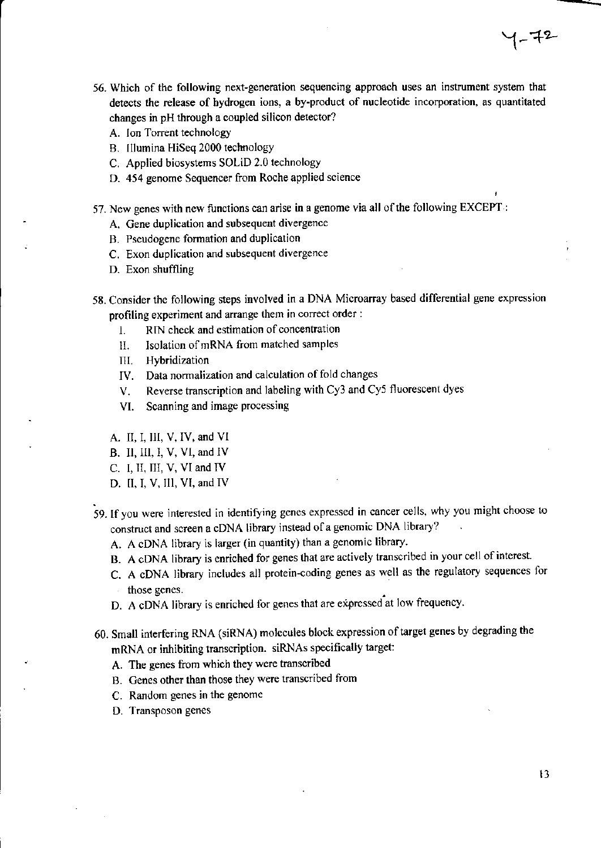- 56. Which of the following next-generation sequencing approach uses an instrument system that detects the release of hydrogen ions, a by-product of nucleotide incorporation, as quantitated changes in pH through a coupled silicon detector?
	- A. lon Torent technology
	- B. Illumina HiSeq 2000 technology
	- C. Applied biosystems SOLiD 2.0 technology
	- D. 454 genome Sequencer from Roche applied science
- 57. New genes with new functions can arise in a genome via all of the following EXCEPT :
	- A. Gene duplication and subsequent divergence
	- B. Peudogene formation and duplication
	- C. Exon duplication and subsequent divergence
	- D. Exon shuffling
- 58. Consider the following steps involved in a DNA Microarray based differential gene expression profiling experiment and arange them in correct otder :
	- I. RIN check and estimation of concentration
	- ll, Isolation ofmRNA from matched samples
	- III. Hybridization
	- IV. Data normalization and calculation of fold changes
	- V. Reverse transcription and labeling with Cy3 and Cy5 fluorescent dyes
	- VI. Scanning and image processing
	- A. II, I, III, V, IV, and VI
	- B. Il, Il, I, V, VI, and IV
	- C. I, II, III, V, VI and IV
	- D. II, I, V, III, VI, and IV
- 59. If you were interested in identifying genes expressed in cancer cells, why you might choose to construct and screen a cDNA library instead of a genomic DNA library?
	- A. A cDNA library is larger (in quantity) than a genomic library.
	- B. A cDNA library is enriched for genes that are actively transcribed in your cell of interest.
	- C. A cDNA library includes all protein-coding genes as well as the regulatory sequences for those genes.
	- D. A cDNA library is enriched for genes that are expressed at low frequency.
- 60. Small interfering RNA (siRNA) molecules blook expression oftatget genes by degrading the mRNA or inhibiting transcription. siRNAs specifically target:
	- A. The genes from which they were transcribed
	- B. Genes other than those they were transcribed from
	- C. Random genes in the genome
	- D. Transposon genes

 $1 - 72$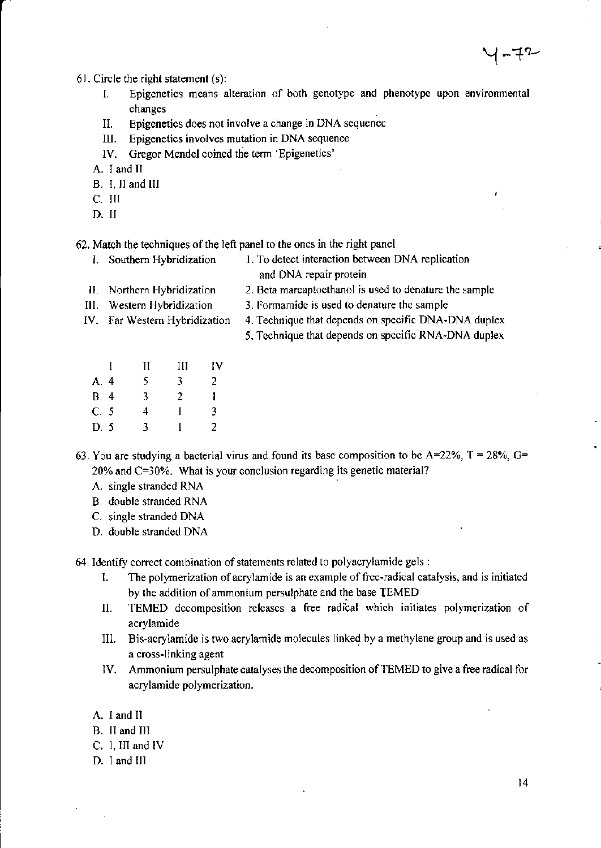61. Circle the right statement (s):

- Epigenetics means alteration of both genotype and phenotype upon environmental I. changes
- Epigenetics does not involve a change in DNA sequence Н.
- Epigenetics involves mutation in DNA sequence Ш.
- IV. Gregor Mendel coined the term 'Epigenetics'

A. I and II

- B. I. II and III
- C. III
- D. II

62. Match the techniques of the left panel to the ones in the right panel

- I. Southern Hybridization 1. To detect interaction between DNA replication
	- and DNA repair protein
- 2. Beta marcaptoethanol is used to denature the sample II. Northern Hybridization
- 3. Formamide is used to denature the sample III. Western Hybridization
- IV. Far Western Hybridization
- 4. Technique that depends on specific DNA-DNA duplex
- 5. Technique that depends on specific RNA-DNA duplex
- $\mathbf{I}$ III IV  $\mathbf{H}$ A. 4 5 3  $\overline{2}$  $B.4$  $\overline{3}$  $\overline{2}$  $\mathbf{I}$  $C. 5$ 3  $\overline{4}$  $\mathbf{1}$  $\mathbf{1}$ D. 5  $\overline{3}$  $\overline{2}$
- 63. You are studying a bacterial virus and found its base composition to be  $A=22\%$ ,  $T = 28\%$ ,  $G=$ 20% and C=30%. What is your conclusion regarding its genetic material?
	- A. single stranded RNA
	- B. double stranded RNA
	- C. single stranded DNA
	- D. double stranded DNA

64. Identify correct combination of statements related to polyacrylamide gels :

- The polymerization of acrylamide is an example of free-radical catalysis, and is initiated L by the addition of ammonium persulphate and the base TEMED
- TEMED decomposition releases a free radical which initiates polymerization of П. acrylamide
- Bis-acrylamide is two acrylamide molecules linked by a methylene group and is used as III. a cross-linking agent
- Ammonium persulphate catalyses the decomposition of TEMED to give a free radical for IV. acrylamide polymerization.
- A. I and II
- B. II and III
- C. 1, III and IV
- D. I and III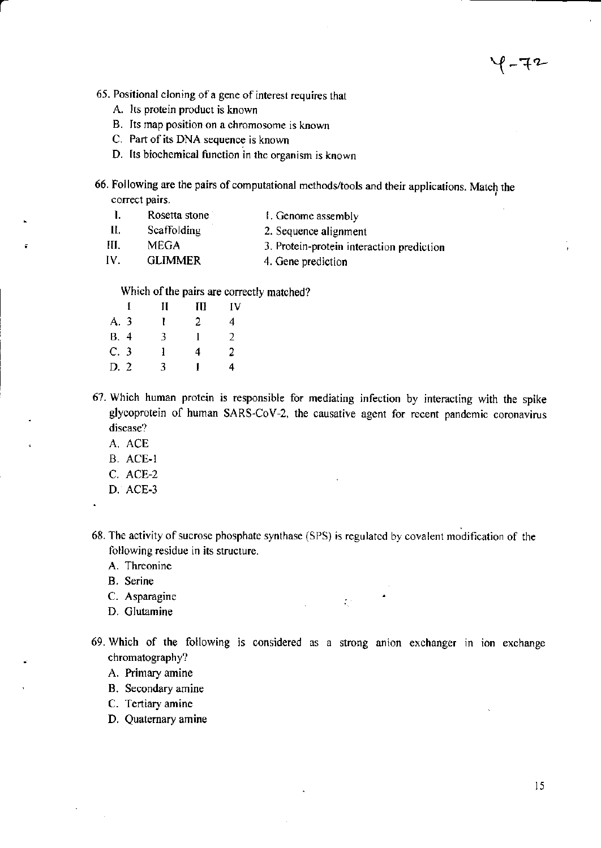イ-チ2

65. Positional cloning of a gene of interest requires that

- A. Its protein product is known
- B. Its map position on a chromosome is known
- C. Part of its DNA sequence is known
- D. Its biochemical function in the organism is known

66. Following are the pairs of computational methods/tools and their applications. Match the correct pairs.

- $\mathbf{l}$ . Rosetta stone 1. Genome assembly
- $II.$ Scaffolding 2. Sequence alignment
- III. **MEGA** 3. Protein-protein interaction prediction
- IV. **GLIMMER** 4. Gene prediction

Which of the pairs are correctly matched?

|             | Н  | Ш  | IV |
|-------------|----|----|----|
| A. 3        | Ł  | 2  | 4  |
| <b>B.</b> 4 | 3  | 1  | 2  |
| C.3         | ł  | 4  | 2  |
| D. 2        | 3. | 1. | 4  |

- 67. Which human protein is responsible for mediating infection by interacting with the spike glycoprotein of human SARS-CoV-2, the causative agent for recent pandemic coronavirus disease?
	- A. ACE
	- B. ACE-1
	- C. ACE-2
	- D. ACE-3

68. The activity of sucrose phosphate synthase (SPS) is regulated by covalent modification of the following residue in its structure.

- A. Threonine
- B. Serine
- C. Asparagine
- D. Glutamine
- 69. Which of the following is considered as a strong anion exchanger in ion exchange chromatography?

 $\mathcal{L}^{\mathcal{L}}$ 

- A. Primary amine
- B. Secondary amine

C. Tertiary amine

D. Quaternary amine